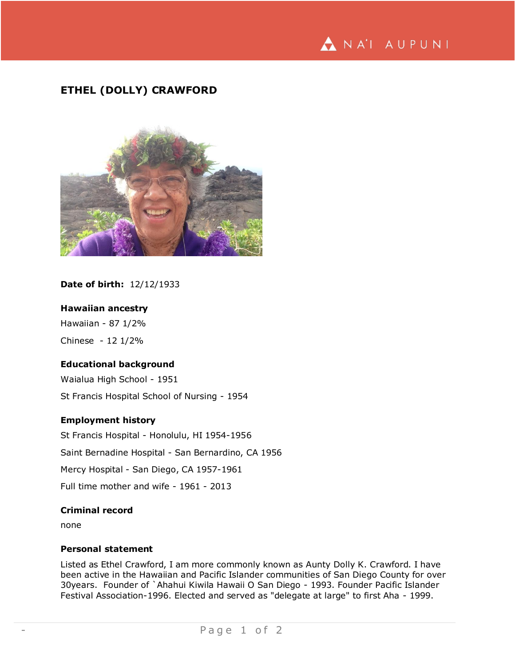

# **ETHEL (DOLLY) CRAWFORD**



# **Date of birth:** 12/12/1933

#### **Hawaiian ancestry**

Hawaiian - 87 1/2% Chinese - 12 1/2%

# **Educational background**

Waialua High School - 1951 St Francis Hospital School of Nursing - 1954

#### **Employment history**

St Francis Hospital - Honolulu, HI 1954-1956 Saint Bernadine Hospital - San Bernardino, CA 1956 Mercy Hospital - San Diego, CA 1957-1961 Full time mother and wife - 1961 - 2013

# **Criminal record**

none

### **Personal statement**

Listed as Ethel Crawford, I am more commonly known as Aunty Dolly K. Crawford. I have been active in the Hawaiian and Pacific Islander communities of San Diego County for over 30years. Founder of `Ahahui Kiwila Hawaii O San Diego - 1993. Founder Pacific Islander Festival Association-1996. Elected and served as "delegate at large" to first Aha - 1999.